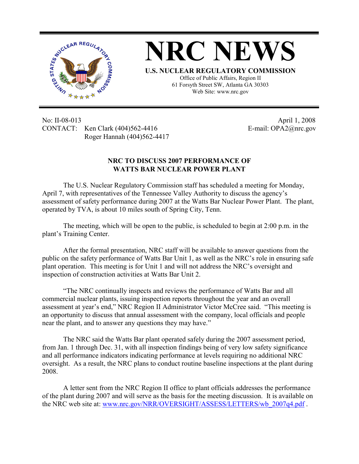



Office of Public Affairs, Region II 61 Forsyth Street SW, Atlanta GA 30303 Web Site: www.nrc.gov

No: II-08-013 April 1, 2008 CONTACT: Ken Clark (404)562-4416 E-mail: OPA2@nrc.gov Roger Hannah (404)562-4417

## **NRC TO DISCUSS 2007 PERFORMANCE OF WATTS BAR NUCLEAR POWER PLANT**

The U.S. Nuclear Regulatory Commission staff has scheduled a meeting for Monday, April 7, with representatives of the Tennessee Valley Authority to discuss the agency's assessment of safety performance during 2007 at the Watts Bar Nuclear Power Plant. The plant, operated by TVA, is about 10 miles south of Spring City, Tenn.

The meeting, which will be open to the public, is scheduled to begin at 2:00 p.m. in the plant's Training Center.

After the formal presentation, NRC staff will be available to answer questions from the public on the safety performance of Watts Bar Unit 1, as well as the NRC's role in ensuring safe plant operation. This meeting is for Unit 1 and will not address the NRC's oversight and inspection of construction activities at Watts Bar Unit 2.

"The NRC continually inspects and reviews the performance of Watts Bar and all commercial nuclear plants, issuing inspection reports throughout the year and an overall assessment at year's end," NRC Region II Administrator Victor McCree said. "This meeting is an opportunity to discuss that annual assessment with the company, local officials and people near the plant, and to answer any questions they may have."

The NRC said the Watts Bar plant operated safely during the 2007 assessment period, from Jan. 1 through Dec. 31, with all inspection findings being of very low safety significance and all performance indicators indicating performance at levels requiring no additional NRC oversight. As a result, the NRC plans to conduct routine baseline inspections at the plant during 2008.

A letter sent from the NRC Region II office to plant officials addresses the performance of the plant during 2007 and will serve as the basis for the meeting discussion. It is available on the NRC web site at: www.nrc.gov/NRR/OVERSIGHT/ASSESS/LETTERS/wb 2007q4.pdf .